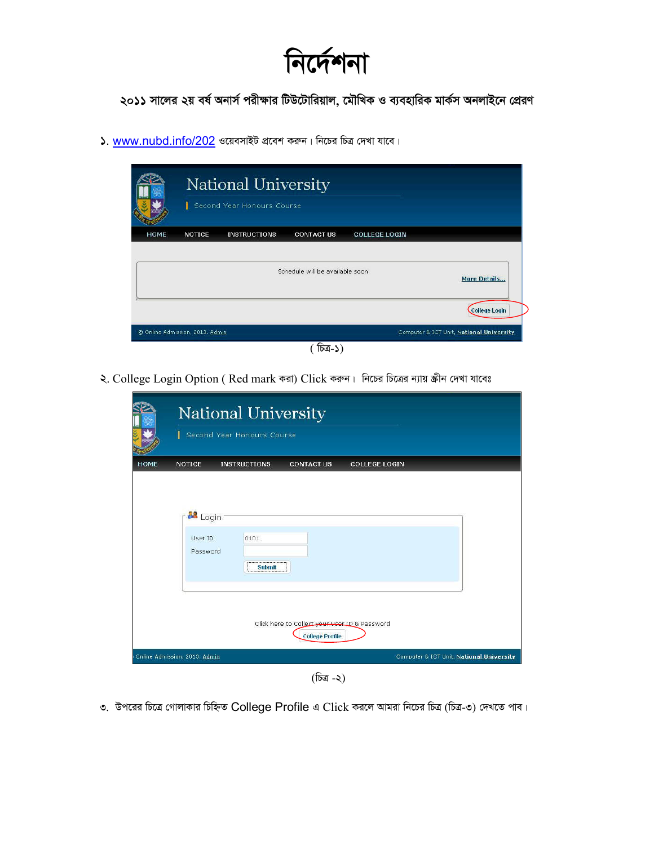निर्मनना

২০১১ সালের ২য় বর্ষ অনার্স পরীক্ষার টিউটোরিয়াল, মৌখিক ও ব্যবহারিক মার্কস অনলাইনে প্রেরণ

 $\lambda$ . www.nubd.info/202 ওয়েবসাইট প্রবেশ করুন। নিচের চিত্র দেখা যাবে।

|             |                                 | National University<br>Second Year Honours Course |                                 |                      |                                          |
|-------------|---------------------------------|---------------------------------------------------|---------------------------------|----------------------|------------------------------------------|
| <b>HOME</b> | <b>NOTICE</b>                   | <b>INSTRUCTIONS</b>                               | <b>CONTACT US</b>               | <b>COLLEGE LOGIN</b> |                                          |
|             |                                 |                                                   | Schedule will be available soon |                      | More Details                             |
|             |                                 |                                                   |                                 |                      | <b>College Login</b>                     |
|             | © Online Admission, 2013. Admin |                                                   |                                 |                      | Computer & ICT Unit, National University |
|             |                                 |                                                   |                                 |                      |                                          |

২. College Login Option (Red mark করা) Click করুন। নিচের চিত্রের ন্যায় স্ক্রীন দেখা যাবেঃ

|                                 | Second Year Honours Course |                                               |                      |  |
|---------------------------------|----------------------------|-----------------------------------------------|----------------------|--|
| <b>HOME</b><br><b>NOTICE</b>    | <b>INSTRUCTIONS</b>        | <b>CONTACT US</b>                             | <b>COLLEGE LOGIN</b> |  |
| 88 Login<br>User ID<br>Password | 0101<br><b>Submit</b>      |                                               |                      |  |
|                                 |                            |                                               |                      |  |
|                                 |                            | Click here to Collect your User ID & Password |                      |  |

(চিত্ৰ -২)

৩. উপরের চিত্রে গোলাকার চিহ্নিত College Profile এ Click করলে আমরা নিচের চিত্র (চিত্র-৩) দেখতে পাব।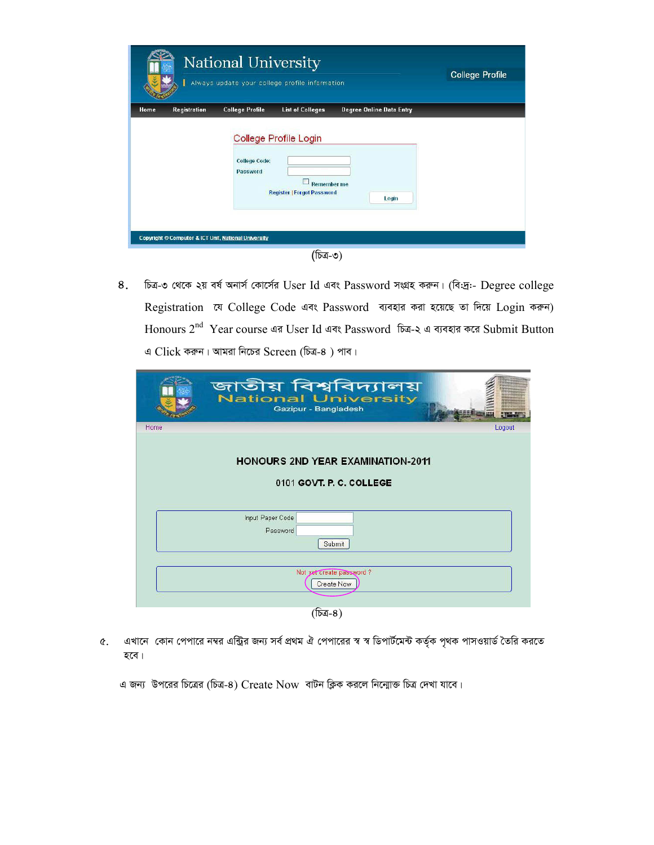| National University<br>Always update your college profile information |                     |                                                      |                                                                                  |                                 | <b>College Profile</b> |
|-----------------------------------------------------------------------|---------------------|------------------------------------------------------|----------------------------------------------------------------------------------|---------------------------------|------------------------|
| Home                                                                  | <b>Registration</b> | <b>College Profile</b>                               | <b>List of Colleges</b>                                                          | <b>Degree Online Data Entry</b> |                        |
|                                                                       |                     | <b>College Code:</b><br>Password                     | College Profile Login<br><b>Remember me</b><br><b>Register   Forgot Password</b> | Login                           |                        |
|                                                                       |                     | Copyright © Computer & ICT Unit, National University |                                                                                  |                                 |                        |
|                                                                       |                     |                                                      |                                                                                  |                                 |                        |

চিত্র-৩ থেকে ২য় বর্ষ অনার্স কোর্সের User Id এবং Password সংগ্রহ করুন। (বি:দ্র:- Degree college 8. Registration যে College Code এবং Password ব্যবহার করা হয়েছে তা দিয়ে Login করুন) Honours 2<sup>nd</sup> Year course এর User Id এবং Password চিত্র-২ এ ব্যবহার করে Submit Button  $\triangleleft$  Click করুন। আমরা নিচের Screen (চিত্র-৪) পাব।

|      | জাতীয় বিশ্ববিদ্যালয়<br><b>National University</b><br>Gazipur - Bangladesh |        |
|------|-----------------------------------------------------------------------------|--------|
| Home |                                                                             | Logout |
|      | <b>HONOURS 2ND YEAR EXAMINATION-2011</b><br>0101 GOVT, P. C. COLLEGE        |        |
|      | Input Paper Code                                                            |        |
|      | Password                                                                    |        |
|      | Submit                                                                      |        |
|      |                                                                             |        |
|      | Not yet create password?<br><b>Create Now</b>                               |        |

(চিত্ৰ-8)

৫. এখানে কোন পেপারে নম্বর এন্ট্রির জন্য সর্ব প্রথম ঐ পেপারের স্ব স্ব ডিপার্টমেন্ট কর্তৃক পৃথক পাসওয়ার্ড তৈরি করতে হবে।

এ জন্য উপরের চিত্রের (চিত্র-8) Create Now বাটন ক্লিক করলে নিন্মোক্ত চিত্র দেখা যাবে।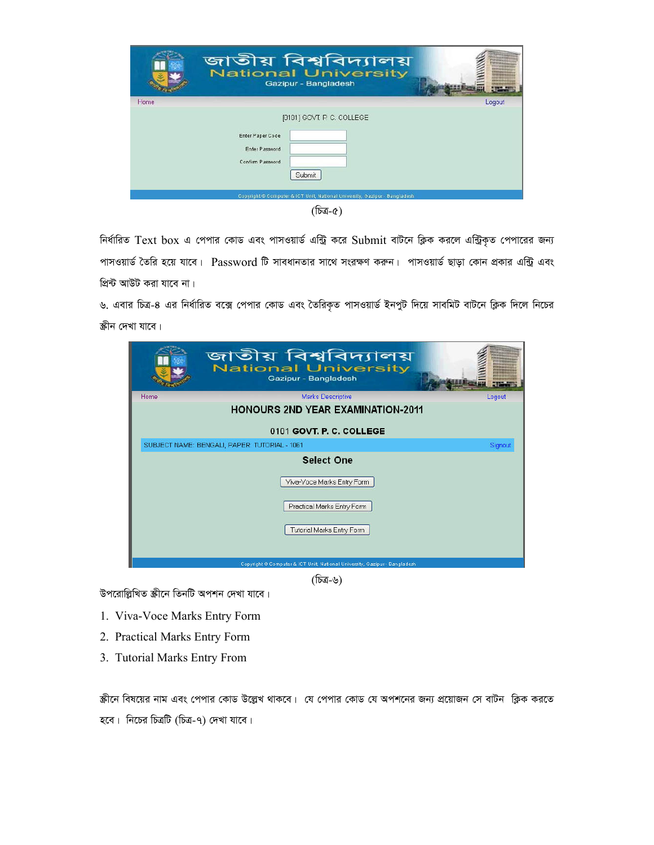|      | জাতীয় বিশ্ববিদ্যালয়<br>National University<br>Gazipur - Bangladesh                                                                                                         |        |
|------|------------------------------------------------------------------------------------------------------------------------------------------------------------------------------|--------|
| Home |                                                                                                                                                                              | Logout |
|      | [0101] GOVT, P. C. COLLEGE<br>Enter Paper Code<br>Enter Password<br>Confirm Password<br>Submit<br>Copyright @ Computer & ICT Unit, National University, Gazipur - Bangladesh |        |

(চিত্ৰ-৫)

নির্ধারিত Text box এ পেপার কোড এবং পাসওয়ার্ড এন্ট্রি করে Submit বাটনে ক্লিক করলে এন্ট্রিকৃত পেপারের জন্য পাসওয়ার্ড তৈরি হয়ে যাবে। Password টি সাবধানতার সাথে সংরক্ষণ করুন। পাসওয়ার্ড ছাড়া কোন প্রকার এন্ট্রি এবং প্রিন্ট আউট করা যাবে না।

৬. এবার চিত্র-৪ এর নির্ধারিত বক্সে পেপার কোড এবং তৈরিকৃত পাসওয়ার্ড ইনপুট দিয়ে সাবমিট বাটনে ক্লিক দিলে নিচের স্কীন দেখা যাবে।

|      | জাতীয় বিশ্ববিদ্যালয়<br><b>National University</b><br>Gazipur - Bangladesh |         |
|------|-----------------------------------------------------------------------------|---------|
| Home | <b>Marks Descriptive</b>                                                    | Logout  |
|      | <b>HONOURS 2ND YEAR EXAMINATION-2011</b>                                    |         |
|      | 0101 GOVT. P. C. COLLEGE                                                    |         |
|      | SUBJECT NAME: BENGALI, PAPER: TUTORIAL - 1061                               | Signout |
|      | <b>Select One</b>                                                           |         |
|      | Viva-Voce Marks Entry Form                                                  |         |
|      | Practical Marks Entry Form                                                  |         |
|      | Tutorial Marks Entry Form                                                   |         |
|      | Copyright @ Computer & ICT Unit, National University, Gazipur - Bangladesh  |         |

(চিত্ৰ-৬)

উপরোল্লিখিত স্ক্রীনে তিনটি অপশন দেখা যাবে।

- 1. Viva-Voce Marks Entry Form
- 2. Practical Marks Entry Form
- 3. Tutorial Marks Entry From

স্ক্রীনে বিষয়ের নাম এবং পেপার কোড উল্লেখ থাকবে। যে পেপার কোড যে অপশনের জন্য প্রয়োজন সে বাটন ক্লিক করতে হবে। নিচের চিত্রটি (চিত্র-৭) দেখা যাবে।